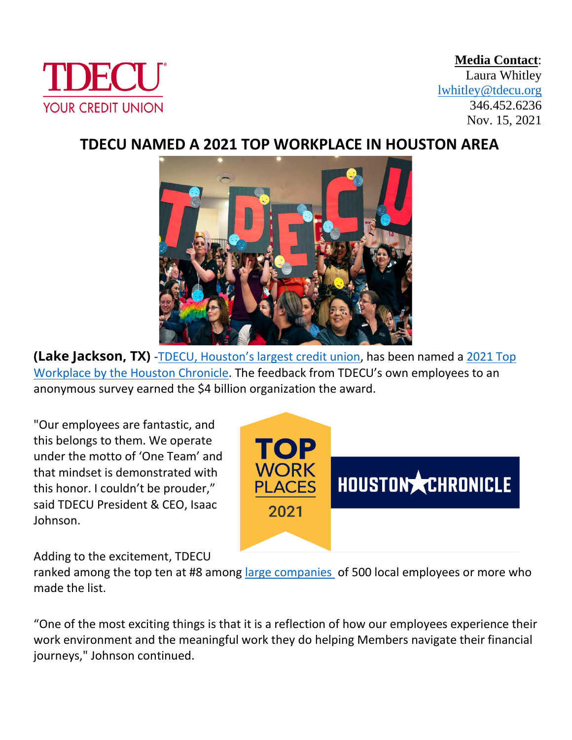

**Media Contact**: Laura Whitley [lwhitley@tdecu.org](mailto:lwhitley@tdecu.org) 346.452.6236 Nov. 15, 2021

## **TDECU NAMED A 2021 TOP WORKPLACE IN HOUSTON AREA**



**(Lake Jackson, TX)** -TDECU[, Houston's largest credit union](https://www.tdecu.org/), has been named a [2021 Top](https://www.houstonchronicle.com/business/topworkplaces/)  Workplace [by the Houston Chronicle.](https://www.houstonchronicle.com/business/topworkplaces/) The feedback from TDECU's own employees to an anonymous survey earned the \$4 billion organization the award.

"Our employees are fantastic, and this belongs to them. We operate under the motto of 'One Team' and that mindset is demonstrated with this honor. I couldn't be prouder," said TDECU President & CEO, Isaac Johnson.



Adding to the excitement, TDECU

ranked among the top ten at #8 among large [companies](https://www.houstonchronicle.com/projects/2021/topworkplaces-large/) of 500 local employees or more who made the list.

"One of the most exciting things is that it is a reflection of how our employees experience their work environment and the meaningful work they do helping Members navigate their financial journeys," Johnson continued.